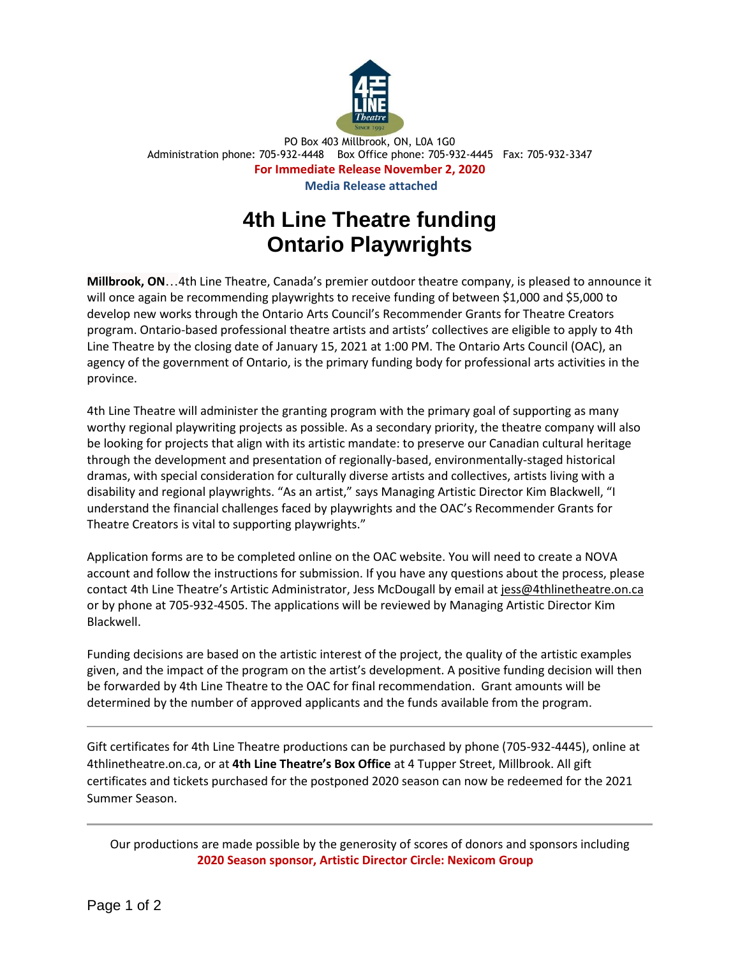

PO Box 403 Millbrook, ON, L0A 1G0 Administration phone: 705-932-4448 Box Office phone: 705-932-4445 Fax: 705-932-3347 **For Immediate Release November 2, 2020 Media Release attached**

## **4th Line Theatre funding Ontario Playwrights**

**Millbrook, ON**…4th Line Theatre, Canada's premier outdoor theatre company, is pleased to announce it will once again be recommending playwrights to receive funding of between \$1,000 and \$5,000 to develop new works through the Ontario Arts Council's Recommender Grants for Theatre Creators program. Ontario-based professional theatre artists and artists' collectives are eligible to apply to 4th Line Theatre by the closing date of January 15, 2021 at 1:00 PM. The Ontario Arts Council (OAC), an agency of the government of Ontario, is the primary funding body for professional arts activities in the province.

4th Line Theatre will administer the granting program with the primary goal of supporting as many worthy regional playwriting projects as possible. As a secondary priority, the theatre company will also be looking for projects that align with its artistic mandate: to preserve our Canadian cultural heritage through the development and presentation of regionally-based, environmentally-staged historical dramas, with special consideration for culturally diverse artists and collectives, artists living with a disability and regional playwrights. "As an artist," says Managing Artistic Director Kim Blackwell, "I understand the financial challenges faced by playwrights and the OAC's Recommender Grants for Theatre Creators is vital to supporting playwrights."

Application forms are to be completed online on the OAC website. You will need to create a NOVA account and follow the instructions for submission. If you have any questions about the process, please contact 4th Line Theatre's Artistic Administrator, Jess McDougall by email a[t jess@4thlinetheatre.on.ca](mailto:jess@4thlinetheatre.on.ca) or by phone at 705-932-4505. The applications will be reviewed by Managing Artistic Director Kim Blackwell.

Funding decisions are based on the artistic interest of the project, the quality of the artistic examples given, and the impact of the program on the artist's development. A positive funding decision will then be forwarded by 4th Line Theatre to the OAC for final recommendation. Grant amounts will be determined by the number of approved applicants and the funds available from the program.

Gift certificates for 4th Line Theatre productions can be purchased by phone (705-932-4445), online at 4thlinetheatre.on.ca, or at **4th Line Theatre's Box Office** at 4 Tupper Street, Millbrook. All gift certificates and tickets purchased for the postponed 2020 season can now be redeemed for the 2021 Summer Season.

Our productions are made possible by the generosity of scores of donors and sponsors including **2020 Season sponsor, Artistic Director Circle: Nexicom Group**